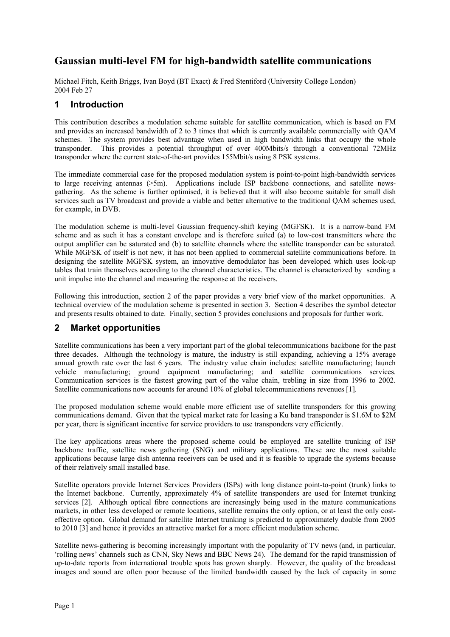# **Gaussian multi-level FM for high-bandwidth satellite communications**

Michael Fitch, Keith Briggs, Ivan Boyd (BT Exact) & Fred Stentiford (University College London) 2004 Feb 27

#### **1 Introduction**

This contribution describes a modulation scheme suitable for satellite communication, which is based on FM and provides an increased bandwidth of 2 to 3 times that which is currently available commercially with QAM schemes. The system provides best advantage when used in high bandwidth links that occupy the whole transponder. This provides a potential throughput of over 400Mbits/s through a conventional 72MHz transponder where the current state-of-the-art provides 155Mbit/s using 8 PSK systems.

The immediate commercial case for the proposed modulation system is point-to-point high-bandwidth services to large receiving antennas (>5m). Applications include ISP backbone connections, and satellite newsgathering. As the scheme is further optimised, it is believed that it will also become suitable for small dish services such as TV broadcast and provide a viable and better alternative to the traditional QAM schemes used, for example, in DVB.

The modulation scheme is multi-level Gaussian frequency-shift keying (MGFSK). It is a narrow-band FM scheme and as such it has a constant envelope and is therefore suited (a) to low-cost transmitters where the output amplifier can be saturated and (b) to satellite channels where the satellite transponder can be saturated. While MGFSK of itself is not new, it has not been applied to commercial satellite communications before. In designing the satellite MGFSK system, an innovative demodulator has been developed which uses look-up tables that train themselves according to the channel characteristics. The channel is characterized by sending a unit impulse into the channel and measuring the response at the receivers.

Following this introduction, section 2 of the paper provides a very brief view of the market opportunities. A technical overview of the modulation scheme is presented in section 3. Section 4 describes the symbol detector and presents results obtained to date. Finally, section 5 provides conclusions and proposals for further work.

### **2 Market opportunities**

Satellite communications has been a very important part of the global telecommunications backbone for the past three decades. Although the technology is mature, the industry is still expanding, achieving a 15% average annual growth rate over the last 6 years. The industry value chain includes: satellite manufacturing; launch vehicle manufacturing; ground equipment manufacturing; and satellite communications services. Communication services is the fastest growing part of the value chain, trebling in size from 1996 to 2002. Satellite communications now accounts for around 10% of global telecommunications revenues [1].

The proposed modulation scheme would enable more efficient use of satellite transponders for this growing communications demand. Given that the typical market rate for leasing a Ku band transponder is \$1.6M to \$2M per year, there is significant incentive for service providers to use transponders very efficiently.

The key applications areas where the proposed scheme could be employed are satellite trunking of ISP backbone traffic, satellite news gathering (SNG) and military applications. These are the most suitable applications because large dish antenna receivers can be used and it is feasible to upgrade the systems because of their relatively small installed base.

Satellite operators provide Internet Services Providers (ISPs) with long distance point-to-point (trunk) links to the Internet backbone. Currently, approximately 4% of satellite transponders are used for Internet trunking services [2]. Although optical fibre connections are increasingly being used in the mature communications markets, in other less developed or remote locations, satellite remains the only option, or at least the only costeffective option. Global demand for satellite Internet trunking is predicted to approximately double from 2005 to 2010 [3] and hence it provides an attractive market for a more efficient modulation scheme.

Satellite news-gathering is becoming increasingly important with the popularity of TV news (and, in particular, 'rolling news' channels such as CNN, Sky News and BBC News 24). The demand for the rapid transmission of up-to-date reports from international trouble spots has grown sharply. However, the quality of the broadcast images and sound are often poor because of the limited bandwidth caused by the lack of capacity in some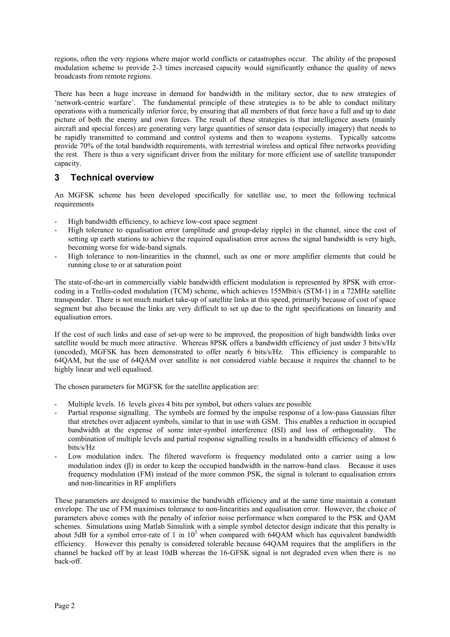regions, often the very regions where major world conflicts or catastrophes occur. The ability of the proposed modulation scheme to provide 2-3 times increased capacity would significantly enhance the quality of news broadcasts from remote regions.

There has been a huge increase in demand for bandwidth in the military sector, due to new strategies of 'network-centric warfare'. The fundamental principle of these strategies is to be able to conduct military operations with a numerically inferior force, by ensuring that all members of that force have a full and up to date picture of both the enemy and own forces. The result of these strategies is that intelligence assets (mainly aircraft and special forces) are generating very large quantities of sensor data (especially imagery) that needs to be rapidly transmitted to command and control systems and then to weapons systems. Typically satcoms provide 70% of the total bandwidth requirements, with terrestrial wireless and optical fibre networks providing the rest. There is thus a very significant driver from the military for more efficient use of satellite transponder capacity.

## **3 Technical overview**

An MGFSK scheme has been developed specifically for satellite use, to meet the following technical requirements

- High bandwidth efficiency, to achieve low-cost space segment
- High tolerance to equalisation error (amplitude and group-delay ripple) in the channel, since the cost of setting up earth stations to achieve the required equalisation error across the signal bandwidth is very high, becoming worse for wide-band signals.
- High tolerance to non-linearities in the channel, such as one or more amplifier elements that could be running close to or at saturation point

The state-of-the-art in commercially viable bandwidth efficient modulation is represented by 8PSK with errorcoding in a Trellis-coded modulation (TCM) scheme, which achieves 155Mbit/s (STM-1) in a 72MHz satellite transponder. There is not much market take-up of satellite links at this speed, primarily because of cost of space segment but also because the links are very difficult to set up due to the tight specifications on linearity and equalisation errors.

If the cost of such links and ease of set-up were to be improved, the proposition of high bandwidth links over satellite would be much more attractive. Whereas 8PSK offers a bandwidth efficiency of just under 3 bits/s/Hz (uncoded), MGFSK has been demonstrated to offer nearly 6 bits/s/Hz. This efficiency is comparable to 64QAM, but the use of 64QAM over satellite is not considered viable because it requires the channel to be highly linear and well equalised.

The chosen parameters for MGFSK for the satellite application are:

- Multiple levels. 16 levels gives 4 bits per symbol, but others values are possible
- Partial response signalling. The symbols are formed by the impulse response of a low-pass Gaussian filter that stretches over adjacent symbols, similar to that in use with GSM. This enables a reduction in occupied bandwidth at the expense of some inter-symbol interference (ISI) and loss of orthogonality. The combination of multiple levels and partial response signalling results in a bandwidth efficiency of almost 6 bits/s/Hz
- Low modulation index. The filtered waveform is frequency modulated onto a carrier using a low modulation index (β) in order to keep the occupied bandwidth in the narrow-band class. Because it uses frequency modulation (FM) instead of the more common PSK, the signal is tolerant to equalisation errors and non-linearities in RF amplifiers

These parameters are designed to maximise the bandwidth efficiency and at the same time maintain a constant envelope. The use of FM maximises tolerance to non-linearities and equalisation error. However, the choice of parameters above comes with the penalty of inferior noise performance when compared to the PSK and QAM schemes. Simulations using Matlab Simulink with a simple symbol detector design indicate that this penalty is about 5dB for a symbol error-rate of 1 in  $10<sup>5</sup>$  when compared with 64QAM which has equivalent bandwidth efficiency. However this penalty is considered tolerable because 64QAM requires that the amplifiers in the channel be backed off by at least 10dB whereas the 16-GFSK signal is not degraded even when there is no back-off.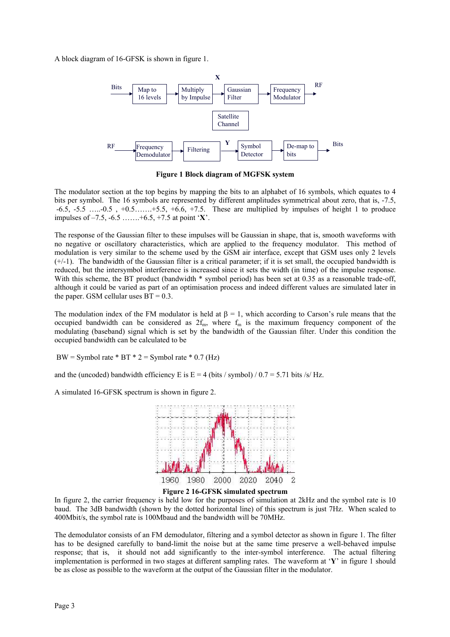A block diagram of 16-GFSK is shown in figure 1.



**Figure 1 Block diagram of MGFSK system**

The modulator section at the top begins by mapping the bits to an alphabet of 16 symbols, which equates to 4 bits per symbol. The 16 symbols are represented by different amplitudes symmetrical about zero, that is, -7.5,  $-6.5, -5.5, \ldots, -0.5, +0.5, \ldots, +5.5, +6.6, +7.5$ . These are multiplied by impulses of height 1 to produce impulses of –7.5, -6.5 …….+6.5, +7.5 at point '**X**'.

The response of the Gaussian filter to these impulses will be Gaussian in shape, that is, smooth waveforms with no negative or oscillatory characteristics, which are applied to the frequency modulator. This method of modulation is very similar to the scheme used by the GSM air interface, except that GSM uses only 2 levels  $(+/-1)$ . The bandwidth of the Gaussian filter is a critical parameter; if it is set small, the occupied bandwidth is reduced, but the intersymbol interference is increased since it sets the width (in time) of the impulse response. With this scheme, the BT product (bandwidth  $*$  symbol period) has been set at 0.35 as a reasonable trade-off, although it could be varied as part of an optimisation process and indeed different values are simulated later in the paper. GSM cellular uses  $BT = 0.3$ .

The modulation index of the FM modulator is held at  $\beta = 1$ , which according to Carson's rule means that the occupied bandwidth can be considered as  $2f_m$ , where  $f_m$  is the maximum frequency component of the modulating (baseband) signal which is set by the bandwidth of the Gaussian filter. Under this condition the occupied bandwidth can be calculated to be

BW = Symbol rate  $*$  BT  $*$  2 = Symbol rate  $*$  0.7 (Hz)

and the (uncoded) bandwidth efficiency E is  $E = 4$  (bits / symbol) / 0.7 = 5.71 bits /s/ Hz.

A simulated 16-GFSK spectrum is shown in figure 2.





In figure 2, the carrier frequency is held low for the purposes of simulation at 2kHz and the symbol rate is 10 baud. The 3dB bandwidth (shown by the dotted horizontal line) of this spectrum is just 7Hz. When scaled to 400Mbit/s, the symbol rate is 100Mbaud and the bandwidth will be 70MHz.

The demodulator consists of an FM demodulator, filtering and a symbol detector as shown in figure 1. The filter has to be designed carefully to band-limit the noise but at the same time preserve a well-behaved impulse response; that is, it should not add significantly to the inter-symbol interference. The actual filtering implementation is performed in two stages at different sampling rates. The waveform at '**Y**' in figure 1 should be as close as possible to the waveform at the output of the Gaussian filter in the modulator.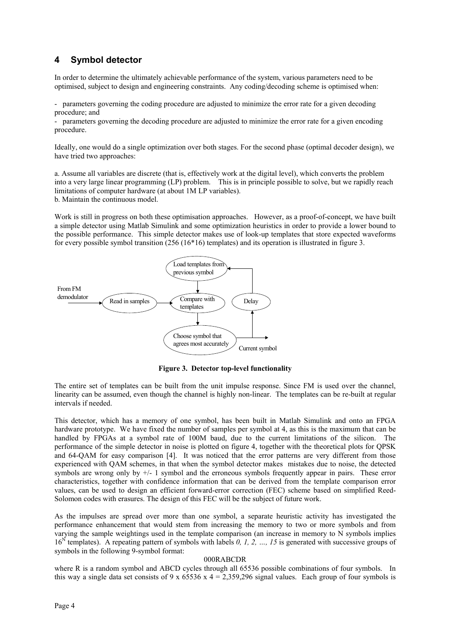### **4 Symbol detector**

In order to determine the ultimately achievable performance of the system, various parameters need to be optimised, subject to design and engineering constraints. Any coding/decoding scheme is optimised when:

- parameters governing the coding procedure are adjusted to minimize the error rate for a given decoding procedure; and

- parameters governing the decoding procedure are adjusted to minimize the error rate for a given encoding procedure.

Ideally, one would do a single optimization over both stages. For the second phase (optimal decoder design), we have tried two approaches:

a. Assume all variables are discrete (that is, effectively work at the digital level), which converts the problem into a very large linear programming (LP) problem. This is in principle possible to solve, but we rapidly reach limitations of computer hardware (at about 1M LP variables).

b. Maintain the continuous model.

Work is still in progress on both these optimisation approaches. However, as a proof-of-concept, we have built a simple detector using Matlab Simulink and some optimization heuristics in order to provide a lower bound to the possible performance. This simple detector makes use of look-up templates that store expected waveforms for every possible symbol transition (256 (16\*16) templates) and its operation is illustrated in figure 3.



**Figure 3. Detector top-level functionality**

The entire set of templates can be built from the unit impulse response. Since FM is used over the channel, linearity can be assumed, even though the channel is highly non-linear. The templates can be re-built at regular intervals if needed.

This detector, which has a memory of one symbol, has been built in Matlab Simulink and onto an FPGA hardware prototype. We have fixed the number of samples per symbol at 4, as this is the maximum that can be handled by FPGAs at a symbol rate of 100M baud, due to the current limitations of the silicon. The performance of the simple detector in noise is plotted on figure 4, together with the theoretical plots for QPSK and 64-QAM for easy comparison [4]. It was noticed that the error patterns are very different from those experienced with QAM schemes, in that when the symbol detector makes mistakes due to noise, the detected symbols are wrong only by  $+\prime$ - 1 symbol and the erroneous symbols frequently appear in pairs. These error characteristics, together with confidence information that can be derived from the template comparison error values, can be used to design an efficient forward-error correction (FEC) scheme based on simplified Reed-Solomon codes with erasures. The design of this FEC will be the subject of future work.

As the impulses are spread over more than one symbol, a separate heuristic activity has investigated the performance enhancement that would stem from increasing the memory to two or more symbols and from varying the sample weightings used in the template comparison (an increase in memory to N symbols implies 16<sup>N</sup> templates). A repeating pattern of symbols with labels 0, 1, 2, ..., 15 is generated with successive groups of symbols in the following 9-symbol format:

#### 000RABCDR

where R is a random symbol and ABCD cycles through all 65536 possible combinations of four symbols. In this way a single data set consists of 9 x 65536 x  $4 = 2,359,296$  signal values. Each group of four symbols is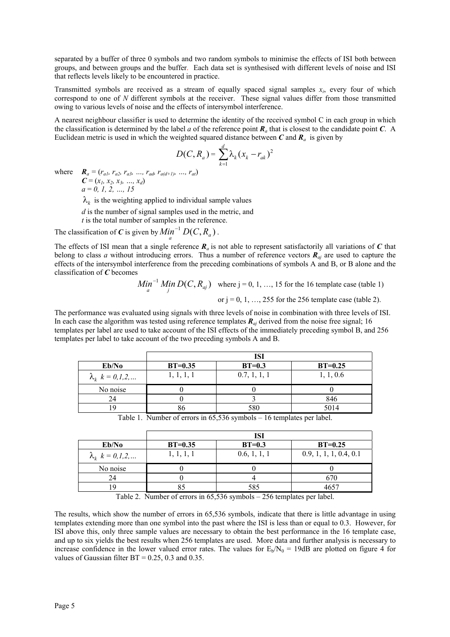separated by a buffer of three 0 symbols and two random symbols to minimise the effects of ISI both between groups, and between groups and the buffer. Each data set is synthesised with different levels of noise and ISI that reflects levels likely to be encountered in practice.

Transmitted symbols are received as a stream of equally spaced signal samples  $x_i$ , every four of which correspond to one of *N* different symbols at the receiver. These signal values differ from those transmitted owing to various levels of noise and the effects of intersymbol interference.

A nearest neighbour classifier is used to determine the identity of the received symbol C in each group in which the classification is determined by the label *a* of the reference point  $\mathbf{R}_a$  that is closest to the candidate point *C*. A Euclidean metric is used in which the weighted squared distance between  $C$  and  $R_a$  is given by

$$
D(C, R_a) = \sum_{k=1}^d \lambda_k (x_k - r_{ak})^2
$$

where  $\bm{R}_a = (r_{a1}, r_{a2}, r_{a3}, ..., r_{ad}, r_{a(d+1)}, ..., r_{at})$ 

 $C = (x_1, x_2, x_3, ..., x_d)$ *a* = *0, 1, 2, …, 15*

 $\lambda_k$  is the weighting applied to individual sample values

*d* is the number of signal samples used in the metric, and

*t* is the total number of samples in the reference.

The classification of *C* is given by  $M_{a}^{i}n^{-1}D(C, R_{a})$ .

The effects of ISI mean that a single reference  $\mathbf{R}_a$  is not able to represent satisfactorily all variations of  $C$  that belong to class *a* without introducing errors. Thus a number of reference vectors *Raj* are used to capture the effects of the intersymbol interference from the preceding combinations of symbols A and B, or B alone and the classification of *C* becomes

$$
\underset{a}{Min}^{-1} \underset{j}{Min} D(C, R_{aj})
$$
 where j = 0, 1, ..., 15 for the 16 template case (table 1)

or  $i = 0, 1, \ldots, 255$  for the 256 template case (table 2).

The performance was evaluated using signals with three levels of noise in combination with three levels of ISI. In each case the algorithm was tested using reference templates *Raj* derived from the noise free signal; 16 templates per label are used to take account of the ISI effects of the immediately preceding symbol B, and 256 templates per label to take account of the two preceding symbols A and B.

|                        | ISI        |              |           |
|------------------------|------------|--------------|-----------|
| Eb/No                  | $BT=0.35$  | $BT=0.3$     | $BT=0.25$ |
| $\lambda_k$ k = 0,1,2, | 1, 1, 1, 1 | 0.7, 1, 1, 1 | 1, 1, 0.6 |
| No noise               |            |              |           |
| 24                     |            |              | 846       |
|                        | 86         | 580          | 5014      |

Table 1. Number of errors in 65,536 symbols – 16 templates per label.

|                        | ISI        |              |                        |  |
|------------------------|------------|--------------|------------------------|--|
| Eb/No                  | $BT=0.35$  | $BT=0.3$     | $BT=0.25$              |  |
| $\lambda_k$ k = 0,1,2, | 1, 1, 1, 1 | 0.6, 1, 1, 1 | 0.9, 1, 1, 1, 0.4, 0.1 |  |
| No noise               |            |              |                        |  |
| 24                     |            |              | 670                    |  |
|                        |            | 585          | 1651                   |  |

Table 2. Number of errors in 65,536 symbols – 256 templates per label.

The results, which show the number of errors in 65,536 symbols, indicate that there is little advantage in using templates extending more than one symbol into the past where the ISI is less than or equal to 0.3. However, for ISI above this, only three sample values are necessary to obtain the best performance in the 16 template case, and up to six yields the best results when 256 templates are used. More data and further analysis is necessary to increase confidence in the lower valued error rates. The values for  $E_b/N_0 = 19$ dB are plotted on figure 4 for values of Gaussian filter  $BT = 0.25$ , 0.3 and 0.35.